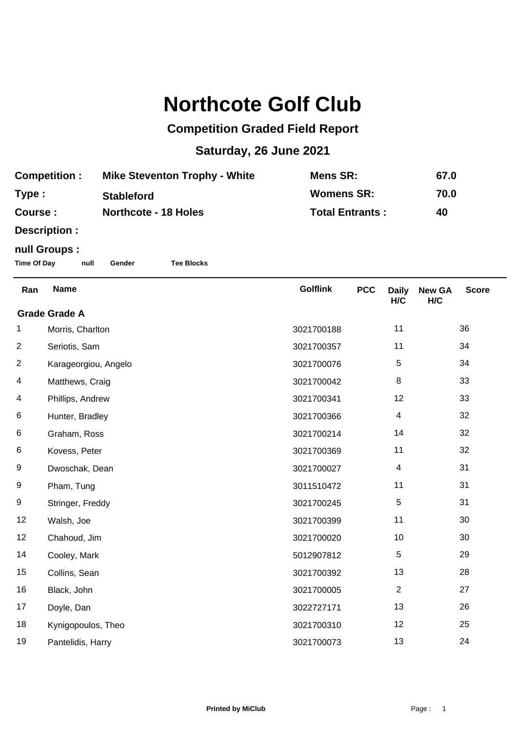## **Northcote Golf Club**

## **Competition Graded Field Report**

## **Saturday, 26 June 2021**

| <b>Competition :</b> | <b>Mike Steventon Trophy - White</b> | Mens SR:               | 67.0 |
|----------------------|--------------------------------------|------------------------|------|
| Type :               | <b>Stableford</b>                    | <b>Womens SR:</b>      | 70.0 |
| <b>Course :</b>      | <b>Northcote - 18 Holes</b>          | <b>Total Entrants:</b> | 40   |

**Description :**

## **null Groups :**

**Time Of Day null Gender Tee Blocks**

| Ran                  | <b>Name</b>          | <b>Golflink</b> | <b>PCC</b> | <b>Daily</b><br>H/C | <b>New GA</b><br>H/C | <b>Score</b> |  |
|----------------------|----------------------|-----------------|------------|---------------------|----------------------|--------------|--|
| <b>Grade Grade A</b> |                      |                 |            |                     |                      |              |  |
| 1                    | Morris, Charlton     | 3021700188      |            | 11                  |                      | 36           |  |
| $\overline{c}$       | Seriotis, Sam        | 3021700357      |            | 11                  |                      | 34           |  |
| $\overline{2}$       | Karageorgiou, Angelo | 3021700076      |            | 5                   |                      | 34           |  |
| 4                    | Matthews, Craig      | 3021700042      |            | 8                   |                      | 33           |  |
| 4                    | Phillips, Andrew     | 3021700341      |            | 12                  |                      | 33           |  |
| 6                    | Hunter, Bradley      | 3021700366      |            | 4                   |                      | 32           |  |
| 6                    | Graham, Ross         | 3021700214      |            | 14                  |                      | 32           |  |
| 6                    | Kovess, Peter        | 3021700369      |            | 11                  |                      | 32           |  |
| 9                    | Dwoschak, Dean       | 3021700027      |            | 4                   |                      | 31           |  |
| 9                    | Pham, Tung           | 3011510472      |            | 11                  |                      | 31           |  |
| 9                    | Stringer, Freddy     | 3021700245      |            | $\,$ 5 $\,$         |                      | 31           |  |
| 12                   | Walsh, Joe           | 3021700399      |            | 11                  |                      | 30           |  |
| 12                   | Chahoud, Jim         | 3021700020      |            | 10                  |                      | 30           |  |
| 14                   | Cooley, Mark         | 5012907812      |            | 5                   |                      | 29           |  |
| 15                   | Collins, Sean        | 3021700392      |            | 13                  |                      | 28           |  |
| 16                   | Black, John          | 3021700005      |            | $\overline{2}$      |                      | 27           |  |
| 17                   | Doyle, Dan           | 3022727171      |            | 13                  |                      | 26           |  |
| 18                   | Kynigopoulos, Theo   | 3021700310      |            | 12                  |                      | 25           |  |
| 19                   | Pantelidis, Harry    | 3021700073      |            | 13                  |                      | 24           |  |